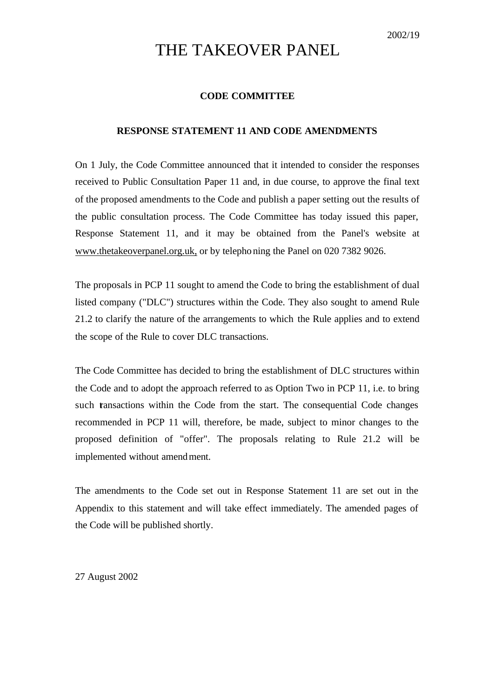# THE TAKEOVER PANEL

# **CODE COMMITTEE**

### **RESPONSE STATEMENT 11 AND CODE AMENDMENTS**

On 1 July, the Code Committee announced that it intended to consider the responses received to Public Consultation Paper 11 and, in due course, to approve the final text of the proposed amendments to the Code and publish a paper setting out the results of the public consultation process. The Code Committee has today issued this paper, Response Statement 11, and it may be obtained from the Panel's website at www.thetakeoverpanel.org.uk, or by telephoning the Panel on 020 7382 9026.

The proposals in PCP 11 sought to amend the Code to bring the establishment of dual listed company ("DLC") structures within the Code. They also sought to amend Rule 21.2 to clarify the nature of the arrangements to which the Rule applies and to extend the scope of the Rule to cover DLC transactions.

The Code Committee has decided to bring the establishment of DLC structures within the Code and to adopt the approach referred to as Option Two in PCP 11, i.e. to bring such transactions within the Code from the start. The consequential Code changes recommended in PCP 11 will, therefore, be made, subject to minor changes to the proposed definition of "offer". The proposals relating to Rule 21.2 will be implemented without amendment.

The amendments to the Code set out in Response Statement 11 are set out in the Appendix to this statement and will take effect immediately. The amended pages of the Code will be published shortly.

27 August 2002